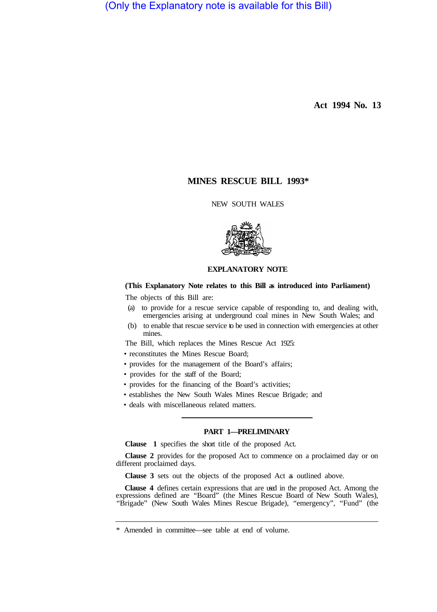(Only the Explanatory note is available for this Bill)

**Act 1994 No. 13** 

# **MINES RESCUE BILL 1993\***

# NEW SOUTH WALES



# **EXPLANATORY NOTE**

# **(This Explanatory Note relates to this Bill as introduced into Parliament)**

The objects of this Bill are:

- (a) to provide for a rescue service capable of responding to, and dealing with, emergencies arising at underground coal mines in New South Wales; and
- (b) to enable that rescue service to be used in connection with emergencies at other mines.

The Bill, which replaces the Mines Rescue Act 1925:

- reconstitutes the Mines Rescue Board;
- provides for the management of the Board's affairs;
- provides for the staff of the Board;
- provides for the financing of the Board's activities;
- establishes the New South Wales Mines Rescue Brigade; and
- deals with miscellaneous related matters.

# **PART 1—PRELIMINARY**

**Clause 1** specifies the short title of the proposed Act.

**Clause 2** provides for the proposed Act to commence on a proclaimed day or on different proclaimed days.

**Clause 3** sets out the objects of the proposed Act as outlined above.

**Clause 4** defines certain expressions that are used in the proposed Act. Among the expressions defined are "Board" (the Mines Rescue Board of New South Wales), "Brigade" (New South Wales Mines Rescue Brigade), "emergency", "Fund" (the

<sup>\*</sup> Amended in committee—see table at end of volume.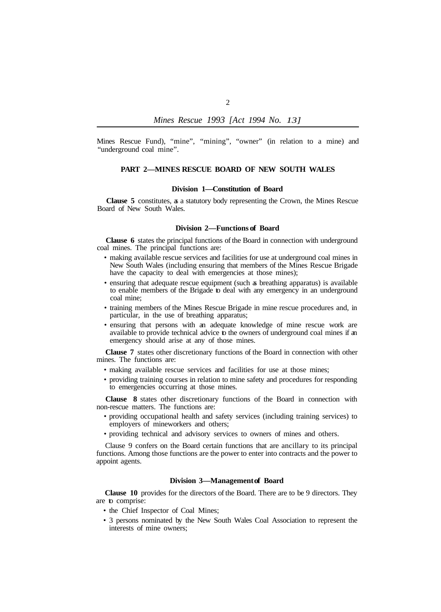Mines Rescue Fund), "mine", "mining", "owner" (in relation to a mine) and "underground coal mine".

# **PART 2—MINES RESCUE BOARD OF NEW SOUTH WALES**

# **Division 1—Constitution of Board**

**Clause 5** constitutes, as a statutory body representing the Crown, the Mines Rescue Board of New South Wales.

#### **Division 2—Functions of Board**

**Clause 6** states the principal functions of the Board in connection with underground coal mines. The principal functions are:

- making available rescue services and facilities for use at underground coal mines in New South Wales (including ensuring that members of the Mines Rescue Brigade have the capacity to deal with emergencies at those mines);
- ensuring that adequate rescue equipment (such as breathing apparatus) is available to enable members of the Brigade to deal with any emergency in an underground coal mine;
- training members of the Mines Rescue Brigade in mine rescue procedures and, in particular, in the use of breathing apparatus;
- ensuring that persons with an adequate knowledge of mine rescue work are available to provide technical advice to the owners of underground coal mines if an emergency should arise at any of those mines.

**Clause 7** states other discretionary functions of the Board in connection with other mines. The functions are:

- making available rescue services and facilities for use at those mines;
- providing training courses in relation to mine safety and procedures for responding to emergencies occurring at those mines.

**Clause 8** states other discretionary functions of the Board in connection with non-rescue matters. The functions are:

- providing occupational health and safety services (including training services) to employers of mineworkers and others;
- providing technical and advisory services to owners of mines and others.

Clause 9 confers on the Board certain functions that are ancillary to its principal functions. Among those functions are the power to enter into contracts and the power to appoint agents.

### **Division 3—Management of Board**

**Clause 10** provides for the directors of the Board. There are to be 9 directors. They are to comprise:

- the Chief Inspector of Coal Mines;
- 3 persons nominated by the New South Wales Coal Association to represent the interests of mine owners;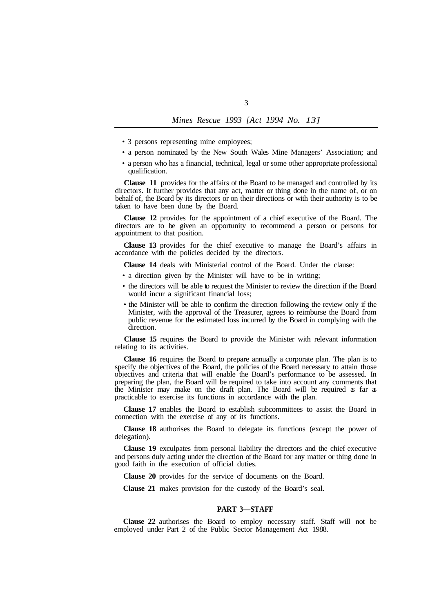- 3 persons representing mine employees;
- a person nominated by the New South Wales Mine Managers' Association; and
- a person who has a financial, technical, legal or some other appropriate professional qualification.

**Clause 11** provides for the affairs of the Board to be managed and controlled by its directors. It further provides that any act, matter or thing done in the name of, or on behalf of, the Board by its directors or on their directions or with their authority is to be taken to have been done by the Board.

**Clause 12** provides for the appointment of a chief executive of the Board. The directors are to be given an opportunity to recommend a person or persons for appointment to that position.

**Clause 13** provides for the chief executive to manage the Board's affairs in accordance with the policies decided by the directors.

- **Clause 14** deals with Ministerial control of the Board. Under the clause:
- a direction given by the Minister will have to be in writing;
- the directors will be able to request the Minister to review the direction if the Board would incur a significant financial loss;
- the Minister will be able to confirm the direction following the review only if the Minister, with the approval of the Treasurer, agrees to reimburse the Board from public revenue for the estimated loss incurred by the Board in complying with the direction.

**Clause 15** requires the Board to provide the Minister with relevant information relating to its activities.

**Clause 16** requires the Board to prepare annually a corporate plan. The plan is to specify the objectives of the Board, the policies of the Board necessary to attain those objectives and criteria that will enable the Board's performance to be assessed. In preparing the plan, the Board will be required to take into account any comments that the Minister may make on the draft plan. The Board will be required as far as practicable to exercise its functions in accordance with the plan.

**Clause 17** enables the Board to establish subcommittees to assist the Board in connection with the exercise of any of its functions.

delegation). **Clause 18** authorises the Board to delegate its functions (except the power of

**Clause 19** exculpates from personal liability the directors and the chief executive and persons duly acting under the direction of the Board for any matter or thing done in good faith in the execution of official duties.

**Clause 20** provides for the service of documents on the Board.

**Clause 21** makes provision for the custody of the Board's seal.

## **PART 3—STAFF**

**Clause 22** authorises the Board to employ necessary staff. Staff will not be employed under Part 2 of the Public Sector Management Act 1988.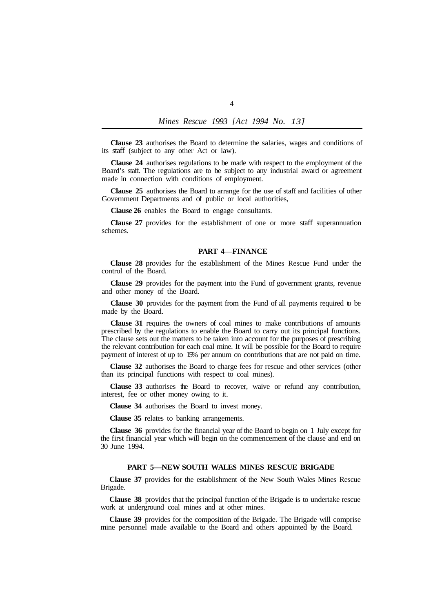**Clause 23** authorises the Board to determine the salaries, wages and conditions of its staff (subject to any other Act or law).

**Clause 24** authorises regulations to be made with respect to the employment of the Board's staff. The regulations are to be subject to any industrial award or agreement made in connection with conditions of employment.

**Clause 25** authorises the Board to arrange for the use of staff and facilities of other Government Departments and of public or local authorities,

**Clause 26** enables the Board to engage consultants.

**Clause 27** provides for the establishment of one or more staff superannuation schemes.

### **PART 4—FINANCE**

**Clause 28** provides for the establishment of the Mines Rescue Fund under the control of the Board.

**Clause 29** provides for the payment into the Fund of government grants, revenue and other money of the Board.

**Clause 30** provides for the payment from the Fund of all payments required to be made by the Board.

**Clause 31** requires the owners of coal mines to make contributions of amounts prescribed by the regulations to enable the Board to carry out its principal functions. The clause sets out the matters to be taken into account for the purposes of prescribing the relevant contribution for each coal mine. It will be possible for the Board to require payment of interest of up to 15% per annum on contributions that are not paid on time.

**Clause 32** authorises the Board to charge fees for rescue and other services (other than its principal functions with respect to coal mines).

**Clause 33** authorises the Board to recover, waive or refund any contribution, interest, fee or other money owing to it.

**Clause 34** authorises the Board to invest money.

**Clause 35** relates to banking arrangements.

**Clause 36** provides for the financial year of the Board to begin on 1 July except for the first financial year which will begin on the commencement of the clause and end on 30 June 1994.

### **PART 5—NEW SOUTH WALES MINES RESCUE BRIGADE**

**Clause 37** provides for the establishment of the New South Wales Mines Rescue Brigade.

work at underground coal mines and at other mines. **Clause 38** provides that the principal function of the Brigade is to undertake rescue

mine personnel made available to the Board and others appointed by the Board. **Clause 39** provides for the composition of the Brigade. The Brigade will comprise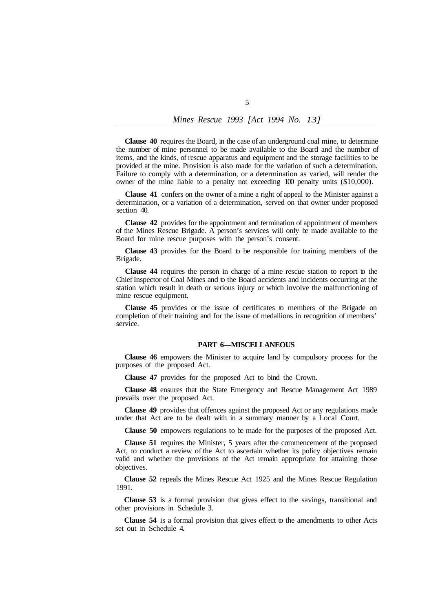**Clause 40** requires the Board, in the case of an underground coal mine, to determine the number of mine personnel to be made available to the Board and the number of items, and the kinds, of rescue apparatus and equipment and the storage facilities to be provided at the mine. Provision is also made for the variation of such a determination. Failure to comply with a determination, or a determination as varied, will render the owner of the mine liable to a penalty not exceeding 100 penalty units (\$10,000).

**Clause 41** confers on the owner of a mine a right of appeal to the Minister against a determination, or a variation of a determination, served on that owner under proposed section 40.

**Clause 42** provides for the appointment and termination of appointment of members of the Mines Rescue Brigade. A person's services will only be made available to the Board for mine rescue purposes with the person's consent.

**Clause 43** provides for the Board to be responsible for training members of the Brigade.

**Clause 44** requires the person in charge of a mine rescue station to report to the Chief Inspector of Coal Mines and to the Board accidents and incidents occurring at the station which result in death or serious injury or which involve the malfunctioning of mine rescue equipment.

**Clause 45** provides or the issue of certificates to members of the Brigade on completion of their training and for the issue of medallions in recognition of members' service.

# **PART 6—MISCELLANEOUS**

**Clause 46** empowers the Minister to acquire land by compulsory process for the purposes of the proposed Act.

**Clause 47** provides for the proposed Act to bind the Crown.

**Clause 48** ensures that the State Emergency and Rescue Management Act 1989 prevails over the proposed Act.

**Clause 49** provides that offences against the proposed Act or any regulations made under that Act are to be dealt with in a summary manner by a Local Court.

**Clause 50** empowers regulations to be made for the purposes of the proposed Act.

**Clause 51** requires the Minister, 5 years after the commencement of the proposed Act, to conduct a review of the Act to ascertain whether its policy objectives remain valid and whether the provisions of the Act remain appropriate for attaining those objectives.

**Clause 52** repeals the Mines Rescue Act 1925 and the Mines Rescue Regulation 1991.

**Clause 53** is a formal provision that gives effect to the savings, transitional and other provisions in Schedule 3.

**Clause 54** is a formal provision that gives effect to the amendments to other Acts set out in Schedule 4.